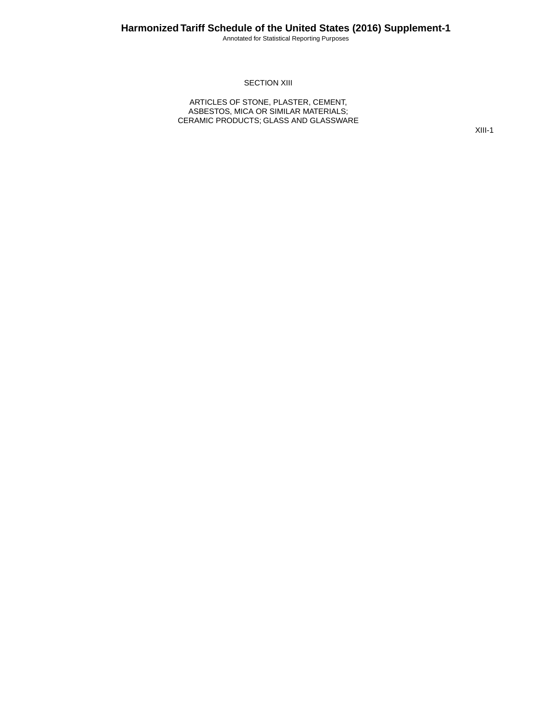Annotated for Statistical Reporting Purposes

#### **SECTION XIII**

ARTICLES OF STONE, PLASTER, CEMENT, ASBESTOS, MICA OR SIMILAR MATERIALS; CERAMIC PRODUCTS; GLASS AND GLASSWARE

XIII-1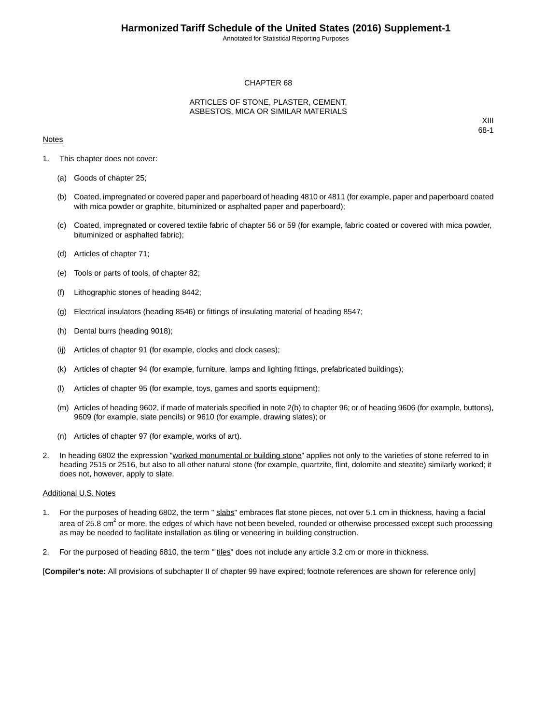Annotated for Statistical Reporting Purposes

#### CHAPTER 68

#### ARTICLES OF STONE, PLASTER, CEMENT, ASBESTOS, MICA OR SIMILAR MATERIALS

#### **Notes**

XIII 68-1

- 1. This chapter does not cover:
	- (a) Goods of chapter 25;
	- (b) Coated, impregnated or covered paper and paperboard of heading 4810 or 4811 (for example, paper and paperboard coated with mica powder or graphite, bituminized or asphalted paper and paperboard);
	- (c) Coated, impregnated or covered textile fabric of chapter 56 or 59 (for example, fabric coated or covered with mica powder, bituminized or asphalted fabric);
	- (d) Articles of chapter 71;
	- (e) Tools or parts of tools, of chapter 82;
	- (f) Lithographic stones of heading 8442;
	- (g) Electrical insulators (heading 8546) or fittings of insulating material of heading 8547;
	- (h) Dental burrs (heading 9018);
	- (ij) Articles of chapter 91 (for example, clocks and clock cases);
	- (k) Articles of chapter 94 (for example, furniture, lamps and lighting fittings, prefabricated buildings);
	- (l) Articles of chapter 95 (for example, toys, games and sports equipment);
	- (m) Articles of heading 9602, if made of materials specified in note 2(b) to chapter 96; or of heading 9606 (for example, buttons), 9609 (for example, slate pencils) or 9610 (for example, drawing slates); or
	- (n) Articles of chapter 97 (for example, works of art).
- 2. In heading 6802 the expression "worked monumental or building stone" applies not only to the varieties of stone referred to in heading 2515 or 2516, but also to all other natural stone (for example, quartzite, flint, dolomite and steatite) similarly worked; it does not, however, apply to slate.

#### Additional U.S. Notes

- 1. For the purposes of heading 6802, the term " slabs" embraces flat stone pieces, not over 5.1 cm in thickness, having a facial area of 25.8 cm<sup>2</sup> or more, the edges of which have not been beveled, rounded or otherwise processed except such processing as may be needed to facilitate installation as tiling or veneering in building construction.
- 2. For the purposed of heading 6810, the term " tiles" does not include any article 3.2 cm or more in thickness.

[**Compiler's note:** All provisions of subchapter II of chapter 99 have expired; footnote references are shown for reference only]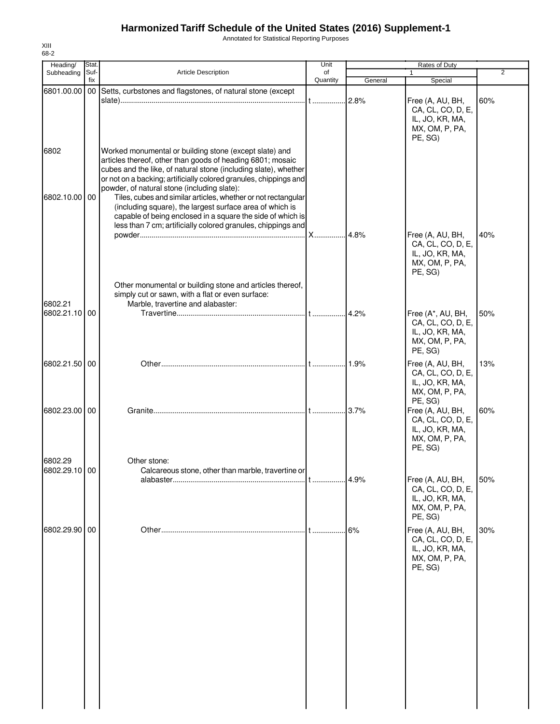Annotated for Statistical Reporting Purposes

| Heading/      | Stat.       |                                                                                                                                                                                                                                                                                                             | Unit           |         |                                                                                        |     |
|---------------|-------------|-------------------------------------------------------------------------------------------------------------------------------------------------------------------------------------------------------------------------------------------------------------------------------------------------------------|----------------|---------|----------------------------------------------------------------------------------------|-----|
| Subheading    | Suf-<br>fix | <b>Article Description</b>                                                                                                                                                                                                                                                                                  | of<br>Quantity | General | $\mathbf{1}$<br>Special                                                                | 2   |
| 6801.00.00    |             | 00 Setts, curbstones and flagstones, of natural stone (except                                                                                                                                                                                                                                               |                | 2.8%    | Free (A, AU, BH,<br>CA, CL, CO, D, E,<br>IL, JO, KR, MA,<br>MX, OM, P, PA,<br>PE, SG)  | 60% |
| 6802          |             | Worked monumental or building stone (except slate) and<br>articles thereof, other than goods of heading 6801; mosaic<br>cubes and the like, of natural stone (including slate), whether<br>or not on a backing; artificially colored granules, chippings and<br>powder, of natural stone (including slate): |                |         |                                                                                        |     |
| 6802.10.00 00 |             | Tiles, cubes and similar articles, whether or not rectangular<br>(including square), the largest surface area of which is<br>capable of being enclosed in a square the side of which is<br>less than 7 cm; artificially colored granules, chippings and                                                     |                | 4.8%    | Free (A, AU, BH,                                                                       | 40% |
|               |             | Other monumental or building stone and articles thereof,                                                                                                                                                                                                                                                    |                |         | CA, CL, CO, D, E,<br>IL, JO, KR, MA,<br>MX, OM, P, PA,<br>PE, SG)                      |     |
| 6802.21       |             | simply cut or sawn, with a flat or even surface:<br>Marble, travertine and alabaster:                                                                                                                                                                                                                       |                |         |                                                                                        |     |
| 6802.21.10 00 |             |                                                                                                                                                                                                                                                                                                             |                |         | Free (A*, AU, BH,<br>CA, CL, CO, D, E,<br>IL, JO, KR, MA,<br>MX, OM, P, PA,<br>PE, SG) | 50% |
| 6802.21.50 00 |             |                                                                                                                                                                                                                                                                                                             |                | 1.9%    | Free (A, AU, BH,<br>CA, CL, CO, D, E,<br>IL, JO, KR, MA,<br>MX, OM, P, PA,<br>PE, SG)  | 13% |
| 6802.23.00 00 |             |                                                                                                                                                                                                                                                                                                             |                | 3.7%    | Free (A, AU, BH,<br>CA, CL, CO, D, E,<br>IL, JO, KR, MA,<br>MX, OM, P, PA,<br>PE, SG)  | 60% |
| 6802.29       |             | Other stone:<br>Calcareous stone, other than marble, travertine or                                                                                                                                                                                                                                          |                |         |                                                                                        |     |
| 6802.29.10 00 |             |                                                                                                                                                                                                                                                                                                             |                | 4.9%    | Free (A, AU, BH,<br>CA, CL, CO, D, E,<br>IL, JO, KR, MA,<br>MX, OM, P, PA,<br>PE, SG)  | 50% |
| 6802.29.90 00 |             |                                                                                                                                                                                                                                                                                                             |                | 6%      | Free (A, AU, BH,<br>CA, CL, CO, D, E,<br>IL, JO, KR, MA,<br>MX, OM, P, PA,<br>PE, SG)  | 30% |
|               |             |                                                                                                                                                                                                                                                                                                             |                |         |                                                                                        |     |
|               |             |                                                                                                                                                                                                                                                                                                             |                |         |                                                                                        |     |
|               |             |                                                                                                                                                                                                                                                                                                             |                |         |                                                                                        |     |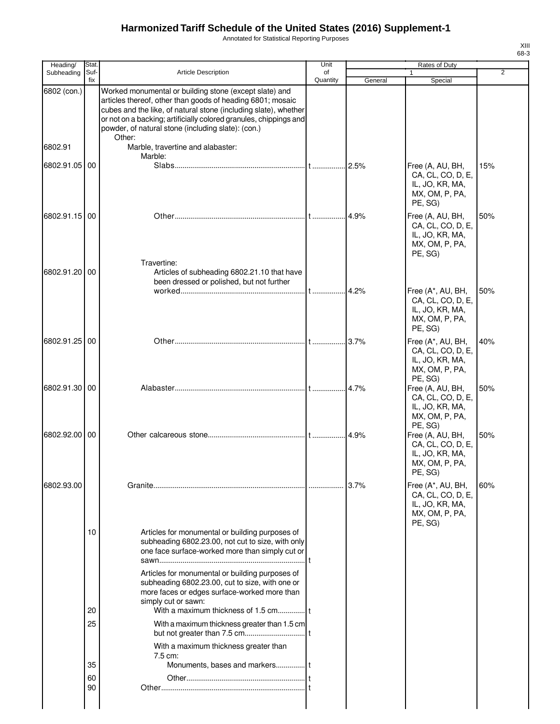Annotated for Statistical Reporting Purposes

| Heading/      | Stat.       |                                                                                                                                                                                                                                                                                                                              | Unit           |         |                                                                                                  |                |  |
|---------------|-------------|------------------------------------------------------------------------------------------------------------------------------------------------------------------------------------------------------------------------------------------------------------------------------------------------------------------------------|----------------|---------|--------------------------------------------------------------------------------------------------|----------------|--|
| Subheading    | Suf-<br>fix | <b>Article Description</b>                                                                                                                                                                                                                                                                                                   | of<br>Quantity | General | Special                                                                                          | $\overline{2}$ |  |
| 6802 (con.)   |             | Worked monumental or building stone (except slate) and<br>articles thereof, other than goods of heading 6801; mosaic<br>cubes and the like, of natural stone (including slate), whether<br>or not on a backing; artificially colored granules, chippings and<br>powder, of natural stone (including slate): (con.)<br>Other: |                |         |                                                                                                  |                |  |
| 6802.91       |             | Marble, travertine and alabaster:<br>Marble:                                                                                                                                                                                                                                                                                 |                |         |                                                                                                  |                |  |
| 6802.91.05 00 |             |                                                                                                                                                                                                                                                                                                                              |                | .2.5%   | Free (A, AU, BH,<br>CA, CL, CO, D, E,<br>IL, JO, KR, MA,<br>MX, OM, P, PA,<br>PE, SG)            | 15%            |  |
| 6802.91.15 00 |             | Travertine:                                                                                                                                                                                                                                                                                                                  |                |         | Free (A, AU, BH,<br>CA, CL, CO, D, E,<br>IL, JO, KR, MA,<br>MX, OM, P, PA,<br>PE, SG)            | 50%            |  |
| 6802.91.20 00 |             | Articles of subheading 6802.21.10 that have<br>been dressed or polished, but not further                                                                                                                                                                                                                                     |                | 4.2%    | Free (A*, AU, BH,<br>CA, CL, CO, D, E,                                                           | 50%            |  |
|               |             |                                                                                                                                                                                                                                                                                                                              |                |         | IL, JO, KR, MA,<br>MX, OM, P, PA,<br>PE, SG)                                                     |                |  |
| 6802.91.25 00 |             |                                                                                                                                                                                                                                                                                                                              |                | .3.7%   | Free (A*, AU, BH,<br>CA, CL, CO, D, E,<br>IL, JO, KR, MA,<br>MX, OM, P, PA,<br>PE, SG)           | 40%            |  |
| 6802.91.30 00 |             |                                                                                                                                                                                                                                                                                                                              |                | .4.7%   | Free (A, AU, BH,<br>CA, CL, CO, D, E,<br>IL, JO, KR, MA,<br>MX, OM, P, PA,                       | 50%            |  |
| 6802.92.00    | 00          |                                                                                                                                                                                                                                                                                                                              |                | .14.9%  | PE, SG)<br>Free (A, AU, BH,<br>CA, CL, CO, D, E,<br>IL, JO, KR, MA,<br>MX, OM, P, PA,<br>PE, SG) | 50%            |  |
| 6802.93.00    |             |                                                                                                                                                                                                                                                                                                                              |                | 3.7%    | Free (A*, AU, BH,<br>CA, CL, CO, D, E,<br>IL, JO, KR, MA,<br>MX, OM, P, PA,<br>PE, SG)           | 60%            |  |
|               | 10          | Articles for monumental or building purposes of<br>subheading 6802.23.00, not cut to size, with only<br>one face surface-worked more than simply cut or                                                                                                                                                                      |                |         |                                                                                                  |                |  |
|               | 20          | Articles for monumental or building purposes of<br>subheading 6802.23.00, cut to size, with one or<br>more faces or edges surface-worked more than<br>simply cut or sawn:                                                                                                                                                    |                |         |                                                                                                  |                |  |
|               | 25          | With a maximum thickness greater than 1.5 cm<br>With a maximum thickness greater than                                                                                                                                                                                                                                        |                |         |                                                                                                  |                |  |
|               | 35          | 7.5 cm:                                                                                                                                                                                                                                                                                                                      |                |         |                                                                                                  |                |  |
|               | 60          |                                                                                                                                                                                                                                                                                                                              |                |         |                                                                                                  |                |  |
|               | 90          |                                                                                                                                                                                                                                                                                                                              |                |         |                                                                                                  |                |  |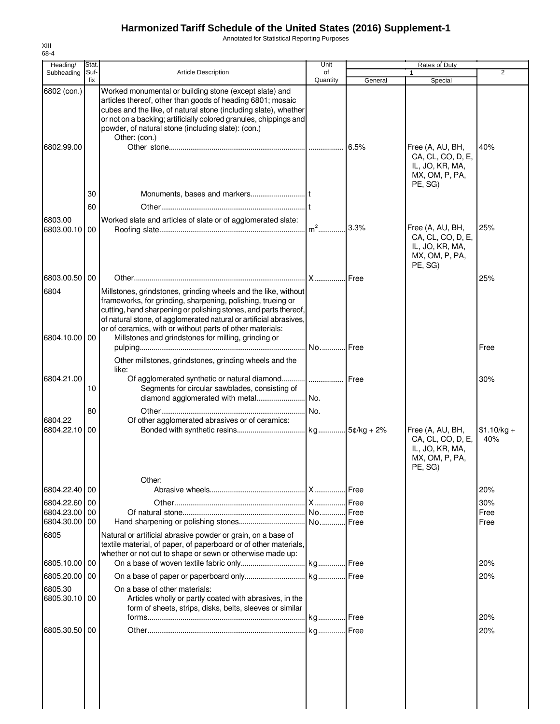Annotated for Statistical Reporting Purposes

| Heading/                 | Stat. |                                                                                                                                                                                                                                                                                                                                                                                             | Unit            |         | Rates of Duty                                                                         |                     |
|--------------------------|-------|---------------------------------------------------------------------------------------------------------------------------------------------------------------------------------------------------------------------------------------------------------------------------------------------------------------------------------------------------------------------------------------------|-----------------|---------|---------------------------------------------------------------------------------------|---------------------|
| Subheading               | Suf-  | <b>Article Description</b>                                                                                                                                                                                                                                                                                                                                                                  | of              |         |                                                                                       | $\overline{2}$      |
| 6802 (con.)              | fix   | Worked monumental or building stone (except slate) and<br>articles thereof, other than goods of heading 6801; mosaic<br>cubes and the like, of natural stone (including slate), whether<br>or not on a backing; artificially colored granules, chippings and<br>powder, of natural stone (including slate): (con.)                                                                          | Quantity        | General | Special                                                                               |                     |
| 6802.99.00               | 30    | Other: (con.)                                                                                                                                                                                                                                                                                                                                                                               |                 |         | Free (A, AU, BH,<br>CA, CL, CO, D, E,<br>IL, JO, KR, MA,<br>MX, OM, P, PA,<br>PE, SG) | 40%                 |
|                          | 60    |                                                                                                                                                                                                                                                                                                                                                                                             |                 |         |                                                                                       |                     |
|                          |       |                                                                                                                                                                                                                                                                                                                                                                                             |                 |         |                                                                                       |                     |
| 6803.00<br>6803.00.10    | 00    | Worked slate and articles of slate or of agglomerated slate:                                                                                                                                                                                                                                                                                                                                |                 | 3.3%    | Free (A, AU, BH,<br>CA, CL, CO, D, E,<br>IL, JO, KR, MA,<br>MX, OM, P, PA,<br>PE, SG) | 25%                 |
| 6803.00.50 00            |       |                                                                                                                                                                                                                                                                                                                                                                                             |                 |         |                                                                                       | 25%                 |
|                          |       |                                                                                                                                                                                                                                                                                                                                                                                             |                 |         |                                                                                       |                     |
| 6804<br>6804.10.00 00    |       | Millstones, grindstones, grinding wheels and the like, without<br>frameworks, for grinding, sharpening, polishing, trueing or<br>cutting, hand sharpening or polishing stones, and parts thereof,<br>of natural stone, of agglomerated natural or artificial abrasives,<br>or of ceramics, with or without parts of other materials:<br>Millstones and grindstones for milling, grinding or |                 |         |                                                                                       |                     |
|                          |       | Other millstones, grindstones, grinding wheels and the<br>like:                                                                                                                                                                                                                                                                                                                             | .l No…………l Free |         |                                                                                       | Free                |
| 6804.21.00               | 10    | Segments for circular sawblades, consisting of                                                                                                                                                                                                                                                                                                                                              |                 |         |                                                                                       | 30%                 |
|                          |       |                                                                                                                                                                                                                                                                                                                                                                                             |                 |         |                                                                                       |                     |
|                          | 80    |                                                                                                                                                                                                                                                                                                                                                                                             |                 |         |                                                                                       |                     |
| 6804.22<br>6804.22.10 00 |       | Of other agglomerated abrasives or of ceramics:                                                                                                                                                                                                                                                                                                                                             |                 |         | Free (A, AU, BH,<br>CA, CL, CO, D, E,<br>IL, JO, KR, MA,<br>MX, OM, P, PA,<br>PE, SG) | $$1.10/kg +$<br>40% |
|                          |       | Other:                                                                                                                                                                                                                                                                                                                                                                                      |                 |         |                                                                                       |                     |
| 6804.22.40 00            |       |                                                                                                                                                                                                                                                                                                                                                                                             |                 |         |                                                                                       | 20%                 |
| 6804.22.60 00            |       |                                                                                                                                                                                                                                                                                                                                                                                             |                 | .l Free |                                                                                       | 30%                 |
| 6804.23.00               | 00    |                                                                                                                                                                                                                                                                                                                                                                                             |                 | Free    |                                                                                       | Free                |
| 6804.30.00 00<br>6805    |       | Natural or artificial abrasive powder or grain, on a base of                                                                                                                                                                                                                                                                                                                                |                 |         |                                                                                       | Free                |
| 6805.10.00 00            |       | textile material, of paper, of paperboard or of other materials,<br>whether or not cut to shape or sewn or otherwise made up:                                                                                                                                                                                                                                                               |                 |         |                                                                                       | 20%                 |
|                          |       |                                                                                                                                                                                                                                                                                                                                                                                             |                 |         |                                                                                       |                     |
| 6805.20.00 00            |       |                                                                                                                                                                                                                                                                                                                                                                                             |                 |         |                                                                                       | 20%                 |
| 6805.30<br>6805.30.10 00 |       | On a base of other materials:<br>Articles wholly or partly coated with abrasives, in the<br>form of sheets, strips, disks, belts, sleeves or similar                                                                                                                                                                                                                                        |                 |         |                                                                                       | 20%                 |
|                          |       |                                                                                                                                                                                                                                                                                                                                                                                             |                 |         |                                                                                       |                     |
| 6805.30.50 00            |       |                                                                                                                                                                                                                                                                                                                                                                                             |                 |         |                                                                                       | 20%                 |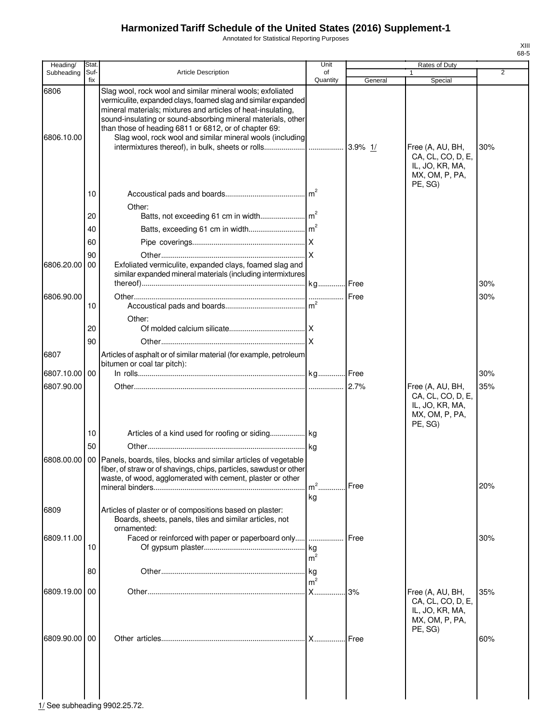Annotated for Statistical Reporting Purposes

| Heading/           | Stat.       |                                                                                                                                                                                                                                                                                                                                                                                   | Unit                 | Rates of Duty |                                                                                                  |     |
|--------------------|-------------|-----------------------------------------------------------------------------------------------------------------------------------------------------------------------------------------------------------------------------------------------------------------------------------------------------------------------------------------------------------------------------------|----------------------|---------------|--------------------------------------------------------------------------------------------------|-----|
| Subheading         | Suf-<br>fix | <b>Article Description</b>                                                                                                                                                                                                                                                                                                                                                        | of<br>Quantity       | General       |                                                                                                  | 2   |
| 6806<br>6806.10.00 |             | Slag wool, rock wool and similar mineral wools; exfoliated<br>vermiculite, expanded clays, foamed slag and similar expanded<br>mineral materials; mixtures and articles of heat-insulating,<br>sound-insulating or sound-absorbing mineral materials, other<br>than those of heading 6811 or 6812, or of chapter 69:<br>Slag wool, rock wool and similar mineral wools (including |                      |               | Special<br>Free (A, AU, BH,<br>CA, CL, CO, D, E,<br>IL, JO, KR, MA,<br>MX, OM, P, PA,<br>PE, SG) | 30% |
|                    | 10          |                                                                                                                                                                                                                                                                                                                                                                                   | m <sup>2</sup>       |               |                                                                                                  |     |
|                    |             | Other:                                                                                                                                                                                                                                                                                                                                                                            |                      |               |                                                                                                  |     |
|                    | 20          |                                                                                                                                                                                                                                                                                                                                                                                   |                      |               |                                                                                                  |     |
|                    | 40          |                                                                                                                                                                                                                                                                                                                                                                                   |                      |               |                                                                                                  |     |
|                    | 60          |                                                                                                                                                                                                                                                                                                                                                                                   |                      |               |                                                                                                  |     |
| 6806.20.00         | 90<br>00    | Exfoliated vermiculite, expanded clays, foamed slag and<br>similar expanded mineral materials (including intermixtures                                                                                                                                                                                                                                                            |                      |               |                                                                                                  |     |
|                    |             |                                                                                                                                                                                                                                                                                                                                                                                   |                      |               |                                                                                                  | 30% |
| 6806.90.00         | 10          | Other:                                                                                                                                                                                                                                                                                                                                                                            |                      | <b>IFree</b>  |                                                                                                  | 30% |
|                    | 20          |                                                                                                                                                                                                                                                                                                                                                                                   |                      |               |                                                                                                  |     |
|                    | 90          |                                                                                                                                                                                                                                                                                                                                                                                   |                      |               |                                                                                                  |     |
| 6807               |             | Articles of asphalt or of similar material (for example, petroleum<br>bitumen or coal tar pitch):                                                                                                                                                                                                                                                                                 |                      |               |                                                                                                  |     |
| 6807.10.00 00      |             |                                                                                                                                                                                                                                                                                                                                                                                   |                      |               |                                                                                                  | 30% |
| 6807.90.00         |             |                                                                                                                                                                                                                                                                                                                                                                                   |                      | 2.7%          | Free (A, AU, BH,<br>CA, CL, CO, D, E,<br>IL, JO, KR, MA,<br>MX, OM, P, PA,<br>PE, SG)            | 35% |
|                    | 10          |                                                                                                                                                                                                                                                                                                                                                                                   |                      |               |                                                                                                  |     |
| 6808.00.00         | 50<br>00    | Panels, boards, tiles, blocks and similar articles of vegetable<br>fiber, of straw or of shavings, chips, particles, sawdust or other                                                                                                                                                                                                                                             |                      |               |                                                                                                  |     |
|                    |             | waste, of wood, agglomerated with cement, plaster or other                                                                                                                                                                                                                                                                                                                        | $m2$ .<br>.          | Free          |                                                                                                  | 20% |
|                    |             |                                                                                                                                                                                                                                                                                                                                                                                   | kg                   |               |                                                                                                  |     |
| 6809               |             | Articles of plaster or of compositions based on plaster:<br>Boards, sheets, panels, tiles and similar articles, not<br>ornamented:                                                                                                                                                                                                                                                |                      |               |                                                                                                  |     |
| 6809.11.00         | 10          | Faced or reinforced with paper or paperboard only                                                                                                                                                                                                                                                                                                                                 | kg<br>m <sup>2</sup> | <b>I</b> Free |                                                                                                  | 30% |
|                    | 80          |                                                                                                                                                                                                                                                                                                                                                                                   | kg<br>m <sup>2</sup> |               |                                                                                                  |     |
| 6809.19.00         | 00          |                                                                                                                                                                                                                                                                                                                                                                                   | X                    | .13%          | Free (A, AU, BH,<br>CA, CL, CO, D, E,                                                            | 35% |
| 6809.90.00 00      |             |                                                                                                                                                                                                                                                                                                                                                                                   |                      | <b>I</b> Free | IL, JO, KR, MA,<br>MX, OM, P, PA,<br>PE, SG)                                                     | 60% |
|                    |             |                                                                                                                                                                                                                                                                                                                                                                                   |                      |               |                                                                                                  |     |

XIII 68-5

1/ See subheading 9902.25.72.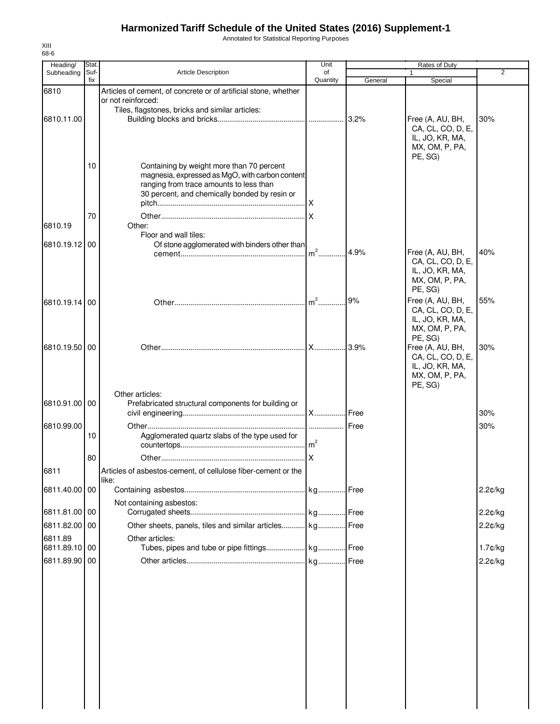Annotated for Statistical Reporting Purposes

| Heading/                 | Stat.       |                                                                                            | Unit           |         | Rates of Duty                         |            |
|--------------------------|-------------|--------------------------------------------------------------------------------------------|----------------|---------|---------------------------------------|------------|
| Subheading               | Suf-<br>fix | <b>Article Description</b>                                                                 | of<br>Quantity | General | Special                               | 2          |
| 6810                     |             | Articles of cement, of concrete or of artificial stone, whether                            |                |         |                                       |            |
|                          |             | or not reinforced:<br>Tiles, flagstones, bricks and similar articles:                      |                |         |                                       |            |
| 6810.11.00               |             |                                                                                            |                | 3.2%    | Free (A, AU, BH,                      | 30%        |
|                          |             |                                                                                            |                |         | CA, CL, CO, D, E,                     |            |
|                          |             |                                                                                            |                |         | IL, JO, KR, MA,<br>MX, OM, P, PA,     |            |
|                          |             |                                                                                            |                |         | PE, SG)                               |            |
|                          | 10          | Containing by weight more than 70 percent                                                  |                |         |                                       |            |
|                          |             | magnesia, expressed as MgO, with carbon content<br>ranging from trace amounts to less than |                |         |                                       |            |
|                          |             | 30 percent, and chemically bonded by resin or                                              |                |         |                                       |            |
|                          |             |                                                                                            | .Ix            |         |                                       |            |
|                          | 70          |                                                                                            |                |         |                                       |            |
| 6810.19                  |             | Other:<br>Floor and wall tiles:                                                            |                |         |                                       |            |
| 6810.19.12 00            |             | Of stone agglomerated with binders other than                                              |                |         |                                       |            |
|                          |             |                                                                                            | $m2$           | 4.9%    | Free (A, AU, BH,                      | 40%        |
|                          |             |                                                                                            |                |         | CA, CL, CO, D, E,<br>IL, JO, KR, MA,  |            |
|                          |             |                                                                                            |                |         | MX, OM, P, PA,                        |            |
|                          |             |                                                                                            |                |         | PE, SG)                               |            |
| 6810.19.14               | 00          |                                                                                            |                | 9%      | Free (A, AU, BH,<br>CA, CL, CO, D, E, | 55%        |
|                          |             |                                                                                            |                |         | IL, JO, KR, MA,                       |            |
|                          |             |                                                                                            |                |         | MX, OM, P, PA,                        |            |
| 6810.19.50 00            |             |                                                                                            |                |         | PE, SG)<br>Free (A, AU, BH,           | 30%        |
|                          |             |                                                                                            |                |         | CA, CL, CO, D, E,                     |            |
|                          |             |                                                                                            |                |         | IL, JO, KR, MA,                       |            |
|                          |             |                                                                                            |                |         | MX, OM, P, PA,<br>PE, SG)             |            |
|                          |             | Other articles:                                                                            |                |         |                                       |            |
| 6810.91.00 00            |             | Prefabricated structural components for building or                                        |                |         |                                       |            |
|                          |             |                                                                                            |                | Free    |                                       | 30%        |
| 6810.99.00               | 10          | Agglomerated quartz slabs of the type used for                                             | .              | Free    |                                       | 30%        |
|                          |             |                                                                                            | m <sup>2</sup> |         |                                       |            |
|                          | 80          |                                                                                            |                |         |                                       |            |
| 6811                     |             | Articles of asbestos-cement, of cellulose fiber-cement or the                              |                |         |                                       |            |
|                          |             | like:                                                                                      |                |         |                                       |            |
| 6811.40.00 00            |             |                                                                                            | . kg Free      |         |                                       | 2.2¢/kg    |
| 6811.81.00 00            |             | Not containing asbestos:                                                                   |                |         |                                       | 2.2¢/kg    |
| 6811.82.00               | 00          | Other sheets, panels, tiles and similar articles kg                                        |                | Free    |                                       |            |
|                          |             |                                                                                            |                |         |                                       | 2.2¢/kg    |
| 6811.89<br>6811.89.10 00 |             | Other articles:                                                                            |                |         |                                       | $1.7$ ¢/kg |
| 6811.89.90 00            |             |                                                                                            |                |         |                                       | 2.2¢/kg    |
|                          |             |                                                                                            |                |         |                                       |            |
|                          |             |                                                                                            |                |         |                                       |            |
|                          |             |                                                                                            |                |         |                                       |            |
|                          |             |                                                                                            |                |         |                                       |            |
|                          |             |                                                                                            |                |         |                                       |            |
|                          |             |                                                                                            |                |         |                                       |            |
|                          |             |                                                                                            |                |         |                                       |            |
|                          |             |                                                                                            |                |         |                                       |            |
|                          |             |                                                                                            |                |         |                                       |            |
|                          |             |                                                                                            |                |         |                                       |            |
|                          |             |                                                                                            |                |         |                                       |            |
|                          |             |                                                                                            |                |         |                                       |            |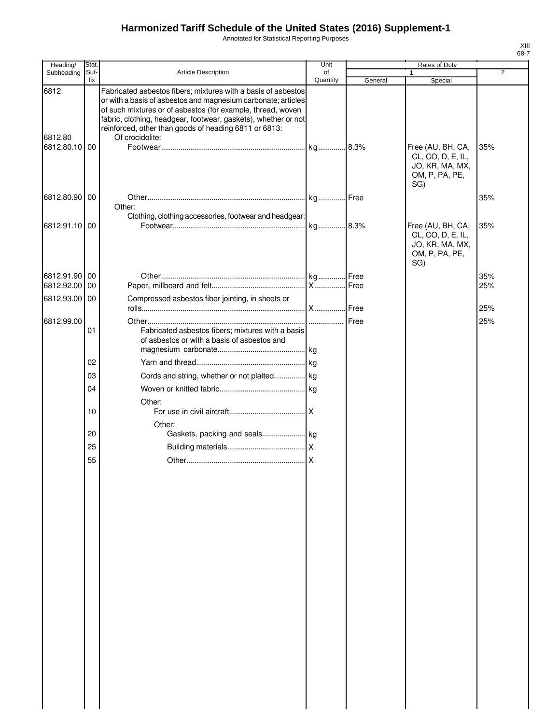Annotated for Statistical Reporting Purposes

| Heading/        | Stat.       |                                                                                                                                                                                                                                                                                                                                             | Unit           | <b>Rates of Duty</b> |                                                                                    |     |
|-----------------|-------------|---------------------------------------------------------------------------------------------------------------------------------------------------------------------------------------------------------------------------------------------------------------------------------------------------------------------------------------------|----------------|----------------------|------------------------------------------------------------------------------------|-----|
| Subheading      | Suf-<br>fix | Article Description                                                                                                                                                                                                                                                                                                                         | of<br>Quantity | General              | $\mathbf{1}$<br>Special                                                            | 2   |
| 6812<br>6812.80 |             | Fabricated asbestos fibers; mixtures with a basis of asbestos<br>or with a basis of asbestos and magnesium carbonate; articles<br>of such mixtures or of asbestos (for example, thread, woven<br>fabric, clothing, headgear, footwear, gaskets), whether or not<br>reinforced, other than goods of heading 6811 or 6813:<br>Of crocidolite: |                |                      |                                                                                    |     |
| 6812.80.10 00   |             |                                                                                                                                                                                                                                                                                                                                             |                |                      | Free (AU, BH, CA,<br>CL, CO, D, E, IL,<br>JO, KR, MA, MX,<br>OM, P, PA, PE,<br>SG) | 35% |
| 6812.80.90 00   |             | Other:                                                                                                                                                                                                                                                                                                                                      |                |                      |                                                                                    | 35% |
| 6812.91.10 00   |             | Clothing, clothing accessories, footwear and headgear:                                                                                                                                                                                                                                                                                      | kg 8.3%        |                      | Free (AU, BH, CA,<br>CL, CO, D, E, IL,<br>JO, KR, MA, MX,<br>OM, P, PA, PE,<br>SG) | 35% |
| 6812.91.90 00   |             |                                                                                                                                                                                                                                                                                                                                             |                |                      |                                                                                    | 35% |
| 6812.92.00 00   |             |                                                                                                                                                                                                                                                                                                                                             |                |                      |                                                                                    | 25% |
| 6812.93.00 00   |             | Compressed asbestos fiber jointing, in sheets or                                                                                                                                                                                                                                                                                            |                |                      |                                                                                    | 25% |
| 6812.99.00      |             |                                                                                                                                                                                                                                                                                                                                             |                |                      |                                                                                    | 25% |
|                 | 01          | Fabricated asbestos fibers; mixtures with a basis<br>of asbestos or with a basis of asbestos and                                                                                                                                                                                                                                            |                |                      |                                                                                    |     |
|                 |             |                                                                                                                                                                                                                                                                                                                                             |                |                      |                                                                                    |     |
|                 | 02          |                                                                                                                                                                                                                                                                                                                                             |                |                      |                                                                                    |     |
|                 | 03          | Cords and string, whether or not plaited kg                                                                                                                                                                                                                                                                                                 |                |                      |                                                                                    |     |
|                 | 04          |                                                                                                                                                                                                                                                                                                                                             |                |                      |                                                                                    |     |
|                 | 10          | Other:                                                                                                                                                                                                                                                                                                                                      |                |                      |                                                                                    |     |
|                 |             | Other:                                                                                                                                                                                                                                                                                                                                      |                |                      |                                                                                    |     |
|                 | 20          |                                                                                                                                                                                                                                                                                                                                             |                |                      |                                                                                    |     |
|                 | 25          |                                                                                                                                                                                                                                                                                                                                             |                |                      |                                                                                    |     |
|                 | 55          |                                                                                                                                                                                                                                                                                                                                             |                |                      |                                                                                    |     |
|                 |             |                                                                                                                                                                                                                                                                                                                                             |                |                      |                                                                                    |     |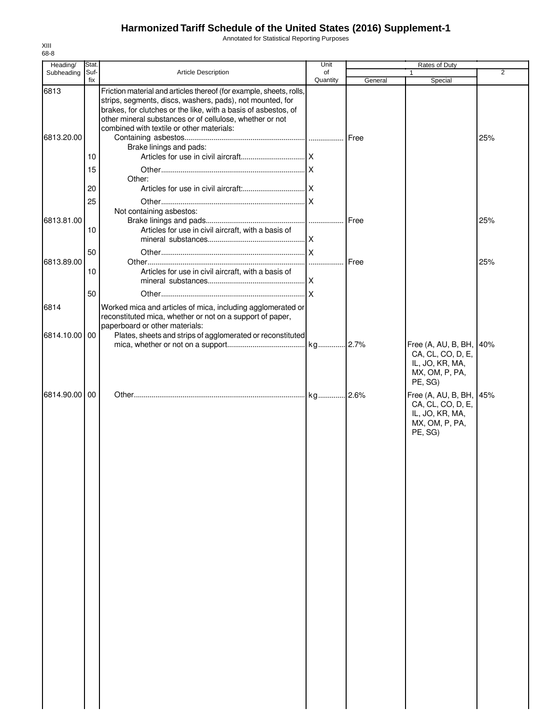Annotated for Statistical Reporting Purposes

| Heading/      | Stat.       |                                                                                                       | Unit     | Rates of Duty |                                      |                |
|---------------|-------------|-------------------------------------------------------------------------------------------------------|----------|---------------|--------------------------------------|----------------|
| Subheading    | Suf-<br>fix | <b>Article Description</b>                                                                            | of       |               |                                      | $\overline{2}$ |
| 6813          |             | Friction material and articles thereof (for example, sheets, rolls,                                   | Quantity | General       | Special                              |                |
|               |             | strips, segments, discs, washers, pads), not mounted, for                                             |          |               |                                      |                |
|               |             | brakes, for clutches or the like, with a basis of asbestos, of                                        |          |               |                                      |                |
|               |             | other mineral substances or of cellulose, whether or not<br>combined with textile or other materials: |          |               |                                      |                |
| 6813.20.00    |             |                                                                                                       |          | Free          |                                      | 25%            |
|               |             | Brake linings and pads:                                                                               |          |               |                                      |                |
|               | 10          |                                                                                                       |          |               |                                      |                |
|               | 15          |                                                                                                       |          |               |                                      |                |
|               |             | Other:                                                                                                |          |               |                                      |                |
|               | 20          |                                                                                                       |          |               |                                      |                |
|               | 25          |                                                                                                       |          |               |                                      |                |
| 6813.81.00    |             | Not containing asbestos:                                                                              |          |               |                                      |                |
|               | 10          | Articles for use in civil aircraft, with a basis of                                                   |          |               |                                      | 25%            |
|               |             |                                                                                                       |          |               |                                      |                |
|               | 50          |                                                                                                       |          |               |                                      |                |
| 6813.89.00    |             |                                                                                                       |          | <b>I</b> Free |                                      | 25%            |
|               | 10          | Articles for use in civil aircraft, with a basis of                                                   |          |               |                                      |                |
|               |             |                                                                                                       |          |               |                                      |                |
|               | 50          |                                                                                                       | X        |               |                                      |                |
| 6814          |             | Worked mica and articles of mica, including agglomerated or                                           |          |               |                                      |                |
|               |             | reconstituted mica, whether or not on a support of paper,                                             |          |               |                                      |                |
|               |             | paperboard or other materials:                                                                        |          |               |                                      |                |
| 6814.10.00 00 |             | Plates, sheets and strips of agglomerated or reconstituted                                            |          |               | Free (A, AU, B, BH, 140%             |                |
|               |             |                                                                                                       |          |               | CA, CL, CO, D, E,                    |                |
|               |             |                                                                                                       |          |               | IL, JO, KR, MA,                      |                |
|               |             |                                                                                                       |          |               | MX, OM, P, PA,                       |                |
|               |             |                                                                                                       |          |               | PE, SG)                              |                |
| 6814.90.00 00 |             |                                                                                                       |          |               | Free (A, AU, B, BH, 45%              |                |
|               |             |                                                                                                       |          |               | CA, CL, CO, D, E,<br>IL, JO, KR, MA, |                |
|               |             |                                                                                                       |          |               | MX, OM, P, PA,                       |                |
|               |             |                                                                                                       |          |               | PE, SG)                              |                |
|               |             |                                                                                                       |          |               |                                      |                |
|               |             |                                                                                                       |          |               |                                      |                |
|               |             |                                                                                                       |          |               |                                      |                |
|               |             |                                                                                                       |          |               |                                      |                |
|               |             |                                                                                                       |          |               |                                      |                |
|               |             |                                                                                                       |          |               |                                      |                |
|               |             |                                                                                                       |          |               |                                      |                |
|               |             |                                                                                                       |          |               |                                      |                |
|               |             |                                                                                                       |          |               |                                      |                |
|               |             |                                                                                                       |          |               |                                      |                |
|               |             |                                                                                                       |          |               |                                      |                |
|               |             |                                                                                                       |          |               |                                      |                |
|               |             |                                                                                                       |          |               |                                      |                |
|               |             |                                                                                                       |          |               |                                      |                |
|               |             |                                                                                                       |          |               |                                      |                |
|               |             |                                                                                                       |          |               |                                      |                |
|               |             |                                                                                                       |          |               |                                      |                |
|               |             |                                                                                                       |          |               |                                      |                |
|               |             |                                                                                                       |          |               |                                      |                |
|               |             |                                                                                                       |          |               |                                      |                |
|               |             |                                                                                                       |          |               |                                      |                |
|               |             |                                                                                                       |          |               |                                      |                |
|               |             |                                                                                                       |          |               |                                      |                |
|               |             |                                                                                                       |          |               |                                      |                |